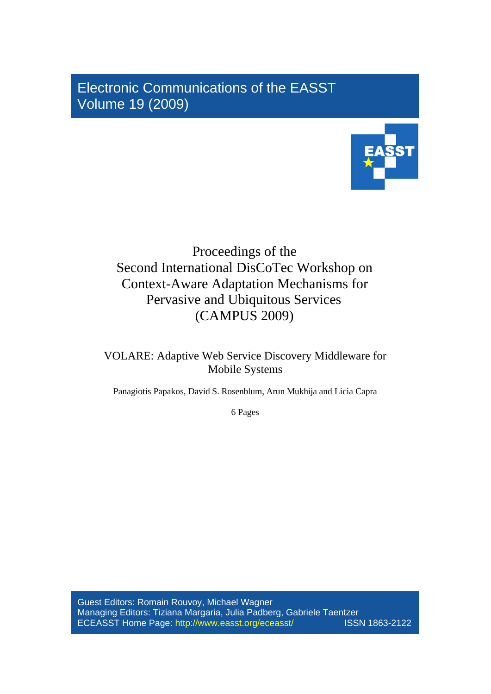Electronic Communications of the EASST Volume 19 (2009)



# Proceedings of the Second International DisCoTec Workshop on Context-Aware Adaptation Mechanisms for Pervasive and Ubiquitous Services (CAMPUS 2009)

VOLARE: Adaptive Web Service Discovery Middleware for Mobile Systems

Panagiotis Papakos, David S. Rosenblum, Arun Mukhija and Licia Capra

6 Pages

Guest Editors: Romain Rouvoy, Michael Wagner Managing Editors: Tiziana Margaria, Julia Padberg, Gabriele Taentzer ECEASST Home Page: http://www.easst.org/eceasst/ ISSN 1863-2122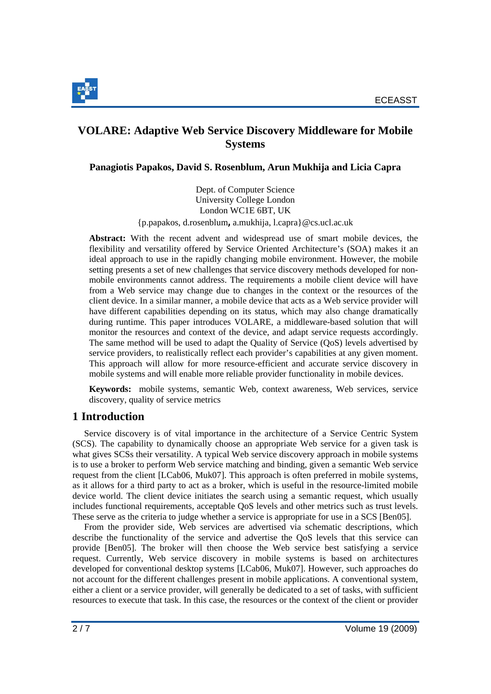

# **VOLARE: Adaptive Web Service Discovery Middleware for Mobile Systems**

## **Panagiotis Papakos, David S. Rosenblum, Arun Mukhija and Licia Capra**

Dept. of Computer Science University College London London WC1E 6BT, UK

{p.papakos, d.rosenblum**,** a.mukhija, l.capra}@cs.ucl.ac.uk

**Abstract:** With the recent advent and widespread use of smart mobile devices, the flexibility and versatility offered by Service Oriented Architecture's (SOA) makes it an ideal approach to use in the rapidly changing mobile environment. However, the mobile setting presents a set of new challenges that service discovery methods developed for nonmobile environments cannot address. The requirements a mobile client device will have from a Web service may change due to changes in the context or the resources of the client device. In a similar manner, a mobile device that acts as a Web service provider will have different capabilities depending on its status, which may also change dramatically during runtime. This paper introduces VOLARE, a middleware-based solution that will monitor the resources and context of the device, and adapt service requests accordingly. The same method will be used to adapt the Quality of Service (QoS) levels advertised by service providers, to realistically reflect each provider's capabilities at any given moment. This approach will allow for more resource-efficient and accurate service discovery in mobile systems and will enable more reliable provider functionality in mobile devices.

**Keywords:** mobile systems, semantic Web, context awareness, Web services, service discovery, quality of service metrics

## **1 Introduction**

Service discovery is of vital importance in the architecture of a Service Centric System (SCS). The capability to dynamically choose an appropriate Web service for a given task is what gives SCSs their versatility. A typical Web service discovery approach in mobile systems is to use a broker to perform Web service matching and binding, given a semantic Web service request from the client [LCab06, Muk07]. This approach is often preferred in mobile systems, as it allows for a third party to act as a broker, which is useful in the resource-limited mobile device world. The client device initiates the search using a semantic request, which usually includes functional requirements, acceptable QoS levels and other metrics such as trust levels. These serve as the criteria to judge whether a service is appropriate for use in a SCS [Ben05].

From the provider side, Web services are advertised via schematic descriptions, which describe the functionality of the service and advertise the QoS levels that this service can provide [Ben05]. The broker will then choose the Web service best satisfying a service request. Currently, Web service discovery in mobile systems is based on architectures developed for conventional desktop systems [LCab06, Muk07]. However, such approaches do not account for the different challenges present in mobile applications. A conventional system, either a client or a service provider, will generally be dedicated to a set of tasks, with sufficient resources to execute that task. In this case, the resources or the context of the client or provider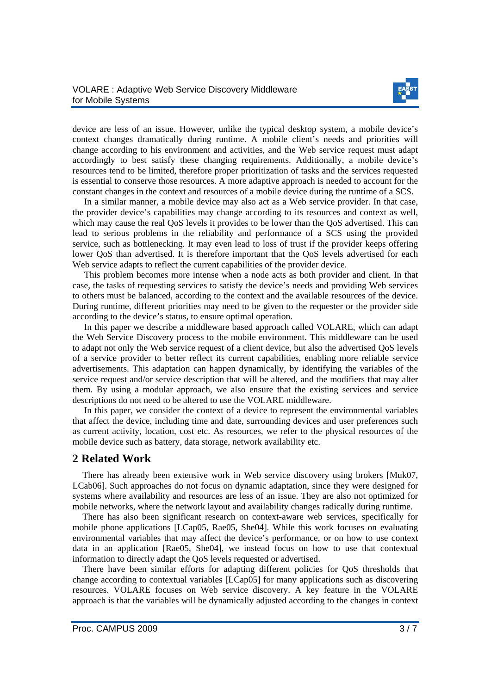

device are less of an issue. However, unlike the typical desktop system, a mobile device's context changes dramatically during runtime. A mobile client's needs and priorities will change according to his environment and activities, and the Web service request must adapt accordingly to best satisfy these changing requirements. Additionally, a mobile device's resources tend to be limited, therefore proper prioritization of tasks and the services requested is essential to conserve those resources. A more adaptive approach is needed to account for the constant changes in the context and resources of a mobile device during the runtime of a SCS.

In a similar manner, a mobile device may also act as a Web service provider. In that case, the provider device's capabilities may change according to its resources and context as well, which may cause the real QoS levels it provides to be lower than the QoS advertised. This can lead to serious problems in the reliability and performance of a SCS using the provided service, such as bottlenecking. It may even lead to loss of trust if the provider keeps offering lower QoS than advertised. It is therefore important that the QoS levels advertised for each Web service adapts to reflect the current capabilities of the provider device.

This problem becomes more intense when a node acts as both provider and client. In that case, the tasks of requesting services to satisfy the device's needs and providing Web services to others must be balanced, according to the context and the available resources of the device. During runtime, different priorities may need to be given to the requester or the provider side according to the device's status, to ensure optimal operation.

In this paper we describe a middleware based approach called VOLARE, which can adapt the Web Service Discovery process to the mobile environment. This middleware can be used to adapt not only the Web service request of a client device, but also the advertised QoS levels of a service provider to better reflect its current capabilities, enabling more reliable service advertisements. This adaptation can happen dynamically, by identifying the variables of the service request and/or service description that will be altered, and the modifiers that may alter them. By using a modular approach, we also ensure that the existing services and service descriptions do not need to be altered to use the VOLARE middleware.

In this paper, we consider the context of a device to represent the environmental variables that affect the device, including time and date, surrounding devices and user preferences such as current activity, location, cost etc. As resources, we refer to the physical resources of the mobile device such as battery, data storage, network availability etc.

## **2 Related Work**

There has already been extensive work in Web service discovery using brokers [Muk07, LCab06]. Such approaches do not focus on dynamic adaptation, since they were designed for systems where availability and resources are less of an issue. They are also not optimized for mobile networks, where the network layout and availability changes radically during runtime.

There has also been significant research on context-aware web services, specifically for mobile phone applications [LCap05, Rae05, She04]. While this work focuses on evaluating environmental variables that may affect the device's performance, or on how to use context data in an application [Rae05, She04], we instead focus on how to use that contextual information to directly adapt the QoS levels requested or advertised.

There have been similar efforts for adapting different policies for QoS thresholds that change according to contextual variables [LCap05] for many applications such as discovering resources. VOLARE focuses on Web service discovery. A key feature in the VOLARE approach is that the variables will be dynamically adjusted according to the changes in context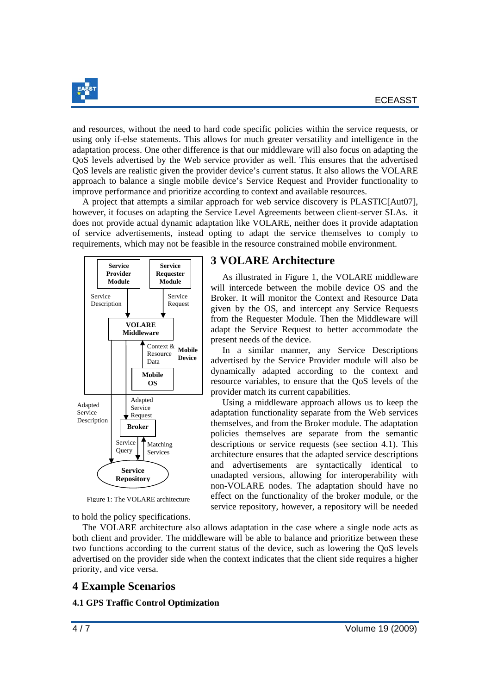

and resources, without the need to hard code specific policies within the service requests, or using only if-else statements. This allows for much greater versatility and intelligence in the adaptation process. One other difference is that our middleware will also focus on adapting the QoS levels advertised by the Web service provider as well. This ensures that the advertised QoS levels are realistic given the provider device's current status. It also allows the VOLARE approach to balance a single mobile device's Service Request and Provider functionality to improve performance and prioritize according to context and available resources.

A project that attempts a similar approach for web service discovery is PLASTIC[Aut07], however, it focuses on adapting the Service Level Agreements between client-server SLAs. it does not provide actual dynamic adaptation like VOLARE, neither does it provide adaptation of service advertisements, instead opting to adapt the service themselves to comply to requirements, which may not be feasible in the resource constrained mobile environment.



Figure 1: The VOLARE architecture

### to hold the policy specifications.

## **3 VOLARE Architecture**

As illustrated in Figure 1, the VOLARE middleware will intercede between the mobile device OS and the Broker. It will monitor the Context and Resource Data given by the OS, and intercept any Service Requests from the Requester Module. Then the Middleware will adapt the Service Request to better accommodate the present needs of the device.

In a similar manner, any Service Descriptions advertised by the Service Provider module will also be dynamically adapted according to the context and resource variables, to ensure that the QoS levels of the provider match its current capabilities.

Using a middleware approach allows us to keep the adaptation functionality separate from the Web services themselves, and from the Broker module. The adaptation policies themselves are separate from the semantic descriptions or service requests (see section 4.1). This architecture ensures that the adapted service descriptions and advertisements are syntactically identical to unadapted versions, allowing for interoperability with non-VOLARE nodes. The adaptation should have no effect on the functionality of the broker module, or the service repository, however, a repository will be needed

The VOLARE architecture also allows adaptation in the case where a single node acts as both client and provider. The middleware will be able to balance and prioritize between these two functions according to the current status of the device, such as lowering the QoS levels advertised on the provider side when the context indicates that the client side requires a higher priority, and vice versa.

## **4 Example Scenarios**

#### **4.1 GPS Traffic Control Optimization**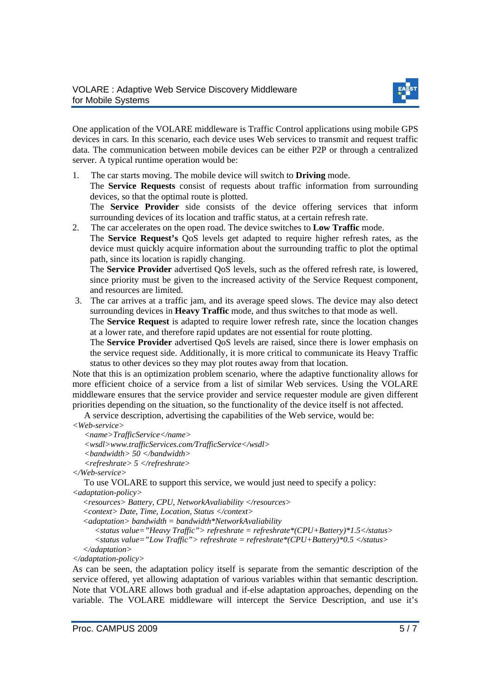

One application of the VOLARE middleware is Traffic Control applications using mobile GPS devices in cars. In this scenario, each device uses Web services to transmit and request traffic data. The communication between mobile devices can be either P2P or through a centralized server. A typical runtime operation would be:

1. The car starts moving. The mobile device will switch to **Driving** mode.

The **Service Requests** consist of requests about traffic information from surrounding devices, so that the optimal route is plotted.

The **Service Provider** side consists of the device offering services that inform surrounding devices of its location and traffic status, at a certain refresh rate.

2. The car accelerates on the open road. The device switches to **Low Traffic** mode.

The **Service Request's** QoS levels get adapted to require higher refresh rates, as the device must quickly acquire information about the surrounding traffic to plot the optimal path, since its location is rapidly changing.

The **Service Provider** advertised QoS levels, such as the offered refresh rate, is lowered, since priority must be given to the increased activity of the Service Request component, and resources are limited.

3. The car arrives at a traffic jam, and its average speed slows. The device may also detect surrounding devices in **Heavy Traffic** mode, and thus switches to that mode as well.

The **Service Request** is adapted to require lower refresh rate, since the location changes at a lower rate, and therefore rapid updates are not essential for route plotting.

The **Service Provider** advertised QoS levels are raised, since there is lower emphasis on the service request side. Additionally, it is more critical to communicate its Heavy Traffic status to other devices so they may plot routes away from that location.

Note that this is an optimization problem scenario, where the adaptive functionality allows for more efficient choice of a service from a list of similar Web services. Using the VOLARE middleware ensures that the service provider and service requester module are given different priorities depending on the situation, so the functionality of the device itself is not affected.

A service description, advertising the capabilities of the Web service, would be:

```
<Web-service>
```
*<name>TrafficService</name>* 

*<wsdl>www.trafficServices.com/TrafficService</wsdl>* 

*<bandwidth> 50 </bandwidth>* 

```
<refreshrate> 5 </refreshrate>
```
*</Web-service>*

To use VOLARE to support this service, we would just need to specify a policy: *<adaptation-policy>* 

 *<resources> Battery, CPU, NetworkAvaliability </resources>* 

 *<context> Date, Time, Location, Status </context>* 

 *<adaptation> bandwidth = bandwidth\*NetworkAvaliability* 

 *<status value="Heavy Traffic"> refreshrate = refreshrate\*(CPU+Battery)\*1.5</status> <status value="Low Traffic"> refreshrate = refreshrate\*(CPU+Battery)\*0.5 </status>* 

 *</adaptation> </adaptation-policy>* 

As can be seen, the adaptation policy itself is separate from the semantic description of the service offered, yet allowing adaptation of various variables within that semantic description. Note that VOLARE allows both gradual and if-else adaptation approaches, depending on the variable. The VOLARE middleware will intercept the Service Description, and use it's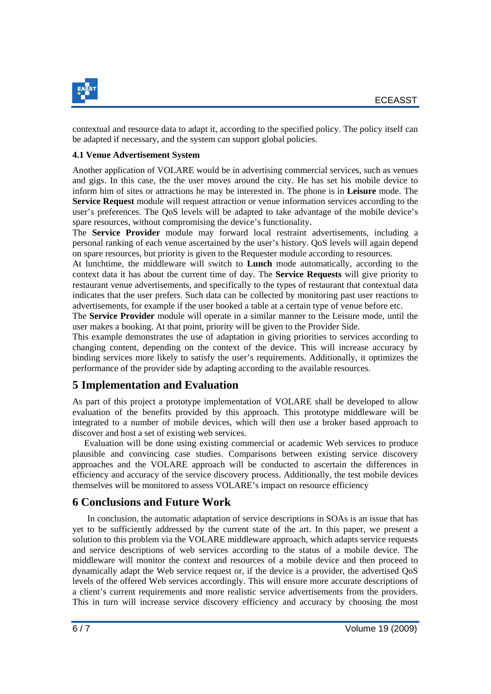

contextual and resource data to adapt it, according to the specified policy. The policy itself can be adapted if necessary, and the system can support global policies.

#### **4.1 Venue Advertisement System**

Another application of VOLARE would be in advertising commercial services, such as venues and gigs. In this case, the the user moves around the city. He has set his mobile device to inform him of sites or attractions he may be interested in. The phone is in **Leisure** mode. The **Service Request** module will request attraction or venue information services according to the user's preferences. The QoS levels will be adapted to take advantage of the mobile device's spare resources, without compromising the device's functionality.

The **Service Provider** module may forward local restraint advertisements, including a personal ranking of each venue ascertained by the user's history. QoS levels will again depend on spare resources, but priority is given to the Requester module according to resources.

At lunchtime, the middleware will switch to **Lunch** mode automatically, according to the context data it has about the current time of day. The **Service Requests** will give priority to restaurant venue advertisements, and specifically to the types of restaurant that contextual data indicates that the user prefers. Such data can be collected by monitoring past user reactions to advertisements, for example if the user booked a table at a certain type of venue before etc.

The **Service Provider** module will operate in a similar manner to the Leisure mode, until the user makes a booking. At that point, priority will be given to the Provider Side.

This example demonstrates the use of adaptation in giving priorities to services according to changing content, depending on the context of the device. This will increase accuracy by binding services more likely to satisfy the user's requirements. Additionally, it optimizes the performance of the provider side by adapting according to the available resources.

# **5 Implementation and Evaluation**

As part of this project a prototype implementation of VOLARE shall be developed to allow evaluation of the benefits provided by this approach. This prototype middleware will be integrated to a number of mobile devices, which will then use a broker based approach to discover and host a set of existing web services.

Evaluation will be done using existing commercial or academic Web services to produce plausible and convincing case studies. Comparisons between existing service discovery approaches and the VOLARE approach will be conducted to ascertain the differences in efficiency and accuracy of the service discovery process. Additionally, the test mobile devices themselves will be monitored to assess VOLARE's impact on resource efficiency

## **6 Conclusions and Future Work**

In conclusion, the automatic adaptation of service descriptions in SOAs is an issue that has yet to be sufficiently addressed by the current state of the art. In this paper, we present a solution to this problem via the VOLARE middleware approach, which adapts service requests and service descriptions of web services according to the status of a mobile device. The middleware will monitor the context and resources of a mobile device and then proceed to dynamically adapt the Web service request or, if the device is a provider, the advertised QoS levels of the offered Web services accordingly. This will ensure more accurate descriptions of a client's current requirements and more realistic service advertisements from the providers. This in turn will increase service discovery efficiency and accuracy by choosing the most